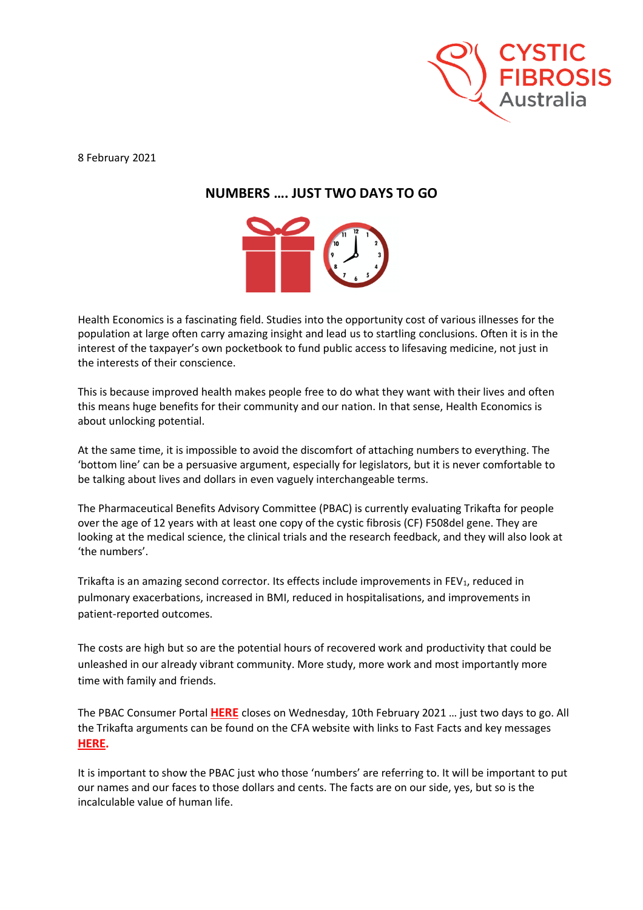

8 February 2021

## **NUMBERS …. JUST TWO DAYS TO GO**



Health Economics is a fascinating field. Studies into the opportunity cost of various illnesses for the population at large often carry amazing insight and lead us to startling conclusions. Often it is in the interest of the taxpayer's own pocketbook to fund public access to lifesaving medicine, not just in the interests of their conscience.

This is because improved health makes people free to do what they want with their lives and often this means huge benefits for their community and our nation. In that sense, Health Economics is about unlocking potential.

At the same time, it is impossible to avoid the discomfort of attaching numbers to everything. The 'bottom line' can be a persuasive argument, especially for legislators, but it is never comfortable to be talking about lives and dollars in even vaguely interchangeable terms.

The Pharmaceutical Benefits Advisory Committee (PBAC) is currently evaluating Trikafta for people over the age of 12 years with at least one copy of the cystic fibrosis (CF) F508del gene. They are looking at the medical science, the clinical trials and the research feedback, and they will also look at 'the numbers'.

Trikafta is an amazing second corrector. Its effects include improvements in FEV<sub>1</sub>, reduced in pulmonary exacerbations, increased in BMI, reduced in hospitalisations, and improvements in patient-reported outcomes.

The costs are high but so are the potential hours of recovered work and productivity that could be unleashed in our already vibrant community. More study, more work and most importantly more time with family and friends.

The PBAC Consumer Portal **[HERE](https://www1.health.gov.au/internet/main/publishing.nsf/Content/PBAC_online_submission_form)** closes on Wednesday, 10th February 2021 … just two days to go. All the Trikafta arguments can be found on the CFA website with links to Fast Facts and key messages **[HERE.](https://www.cysticfibrosis.org.au/advocacy/trikafta-advocacy-plan)**

It is important to show the PBAC just who those 'numbers' are referring to. It will be important to put our names and our faces to those dollars and cents. The facts are on our side, yes, but so is the incalculable value of human life.